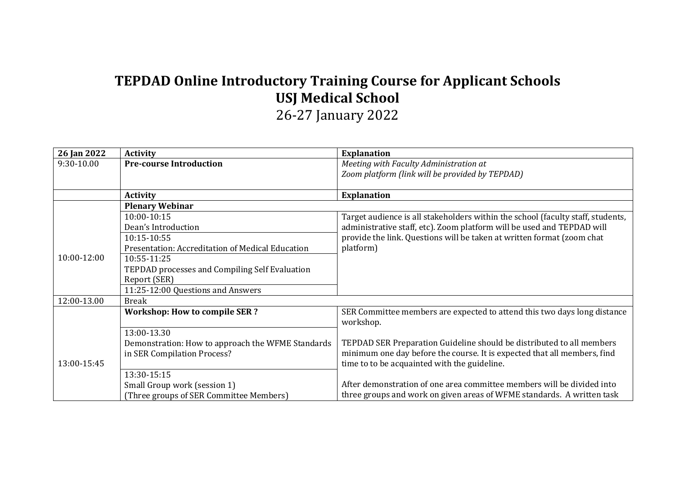## **TEPDAD Online Introductory Training Course for Applicant Schools USJ Medical School**

26-27 January 2022

| 26 Jan 2022 | <b>Activity</b>                                   | <b>Explanation</b>                                                              |
|-------------|---------------------------------------------------|---------------------------------------------------------------------------------|
| 9:30-10.00  | <b>Pre-course Introduction</b>                    | Meeting with Faculty Administration at                                          |
|             |                                                   | Zoom platform (link will be provided by TEPDAD)                                 |
|             |                                                   |                                                                                 |
|             | <b>Activity</b>                                   | <b>Explanation</b>                                                              |
|             | <b>Plenary Webinar</b>                            |                                                                                 |
|             | 10:00-10:15                                       | Target audience is all stakeholders within the school (faculty staff, students, |
|             | Dean's Introduction                               | administrative staff, etc). Zoom platform will be used and TEPDAD will          |
|             | 10:15-10:55                                       | provide the link. Questions will be taken at written format (zoom chat          |
|             | Presentation: Accreditation of Medical Education  | platform)                                                                       |
| 10:00-12:00 | 10:55-11:25                                       |                                                                                 |
|             | TEPDAD processes and Compiling Self Evaluation    |                                                                                 |
|             | Report (SER)                                      |                                                                                 |
|             | 11:25-12:00 Questions and Answers                 |                                                                                 |
| 12:00-13.00 | <b>Break</b>                                      |                                                                                 |
|             | <b>Workshop: How to compile SER ?</b>             | SER Committee members are expected to attend this two days long distance        |
|             |                                                   | workshop.                                                                       |
|             | 13:00-13.30                                       |                                                                                 |
|             | Demonstration: How to approach the WFME Standards | TEPDAD SER Preparation Guideline should be distributed to all members           |
|             | in SER Compilation Process?                       | minimum one day before the course. It is expected that all members, find        |
| 13:00-15:45 |                                                   | time to to be acquainted with the guideline.                                    |
|             | 13:30-15:15                                       |                                                                                 |
|             | Small Group work (session 1)                      | After demonstration of one area committee members will be divided into          |
|             | (Three groups of SER Committee Members)           | three groups and work on given areas of WFME standards. A written task          |